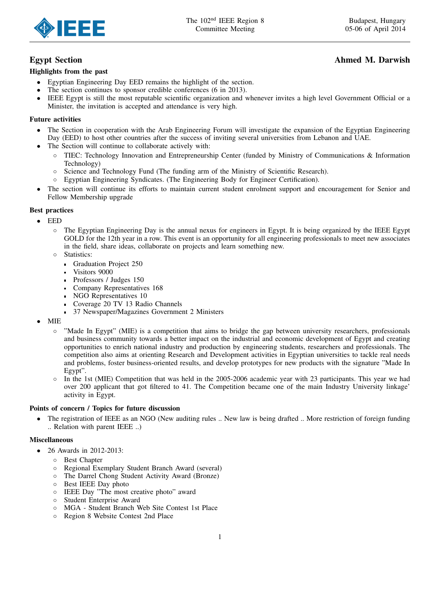

# Egypt Section Ahmed M. Darwish

## Highlights from the past

- Egyptian Engineering Day EED remains the highlight of the section.
- The section continues to sponsor credible conferences (6 in 2013).
- IEEE Egypt is still the most reputable scientific organization and whenever invites a high level Government Official or a Minister, the invitation is accepted and attendance is very high.

## Future activities

- The Section in cooperation with the Arab Engineering Forum will investigate the expansion of the Egyptian Engineering Day (EED) to host other countries after the success of inviting several universities from Lebanon and UAE.
- The Section will continue to collaborate actively with:
	- TIEC: Technology Innovation and Entrepreneurship Center (funded by Ministry of Communications & Information Technology)
	- Science and Technology Fund (The funding arm of the Ministry of Scientific Research).
	- Egyptian Engineering Syndicates. (The Engineering Body for Engineer Certification).
- The section will continue its efforts to maintain current student enrolment support and encouragement for Senior and Fellow Membership upgrade

## Best practices

- EED
	- The Egyptian Engineering Day is the annual nexus for engineers in Egypt. It is being organized by the IEEE Egypt GOLD for the 12th year in a row. This event is an opportunity for all engineering professionals to meet new associates in the field, share ideas, collaborate on projects and learn something new.
	- Statistics:
		- Graduation Project 250  $\blacksquare$
		- Visitors 9000
		- Professors / Judges 150
		- Company Representatives 168
		- NGO Representatives 10
		- Coverage 20 TV 13 Radio Channels
		- 37 Newspaper/Magazines Government 2 Ministers
- MIE
	- "Made In Egypt" (MIE) is a competition that aims to bridge the gap between university researchers, professionals and business community towards a better impact on the industrial and economic development of Egypt and creating opportunities to enrich national industry and production by engineering students, researchers and professionals. The competition also aims at orienting Research and Development activities in Egyptian universities to tackle real needs and problems, foster business-oriented results, and develop prototypes for new products with the signature "Made In Egypt".
	- In the 1st (MIE) Competition that was held in the 2005-2006 academic year with 23 participants. This year we had over 200 applicant that got filtered to 41. The Competition became one of the main Industry University linkage' activity in Egypt.

## Points of concern / Topics for future discussion

• The registration of IEEE as an NGO (New auditing rules .. New law is being drafted .. More restriction of foreign funding .. Relation with parent IEEE ..)

## Miscellaneous

- 26 Awards in 2012-2013:
	- Best Chapter
	- Regional Exemplary Student Branch Award (several)
	- The Darrel Chong Student Activity Award (Bronze)
	- Best IEEE Day photo
	- IEEE Day "The most creative photo" award
	- Student Enterprise Award
	- MGA Student Branch Web Site Contest 1st Place
	- Region 8 Website Contest 2nd Place